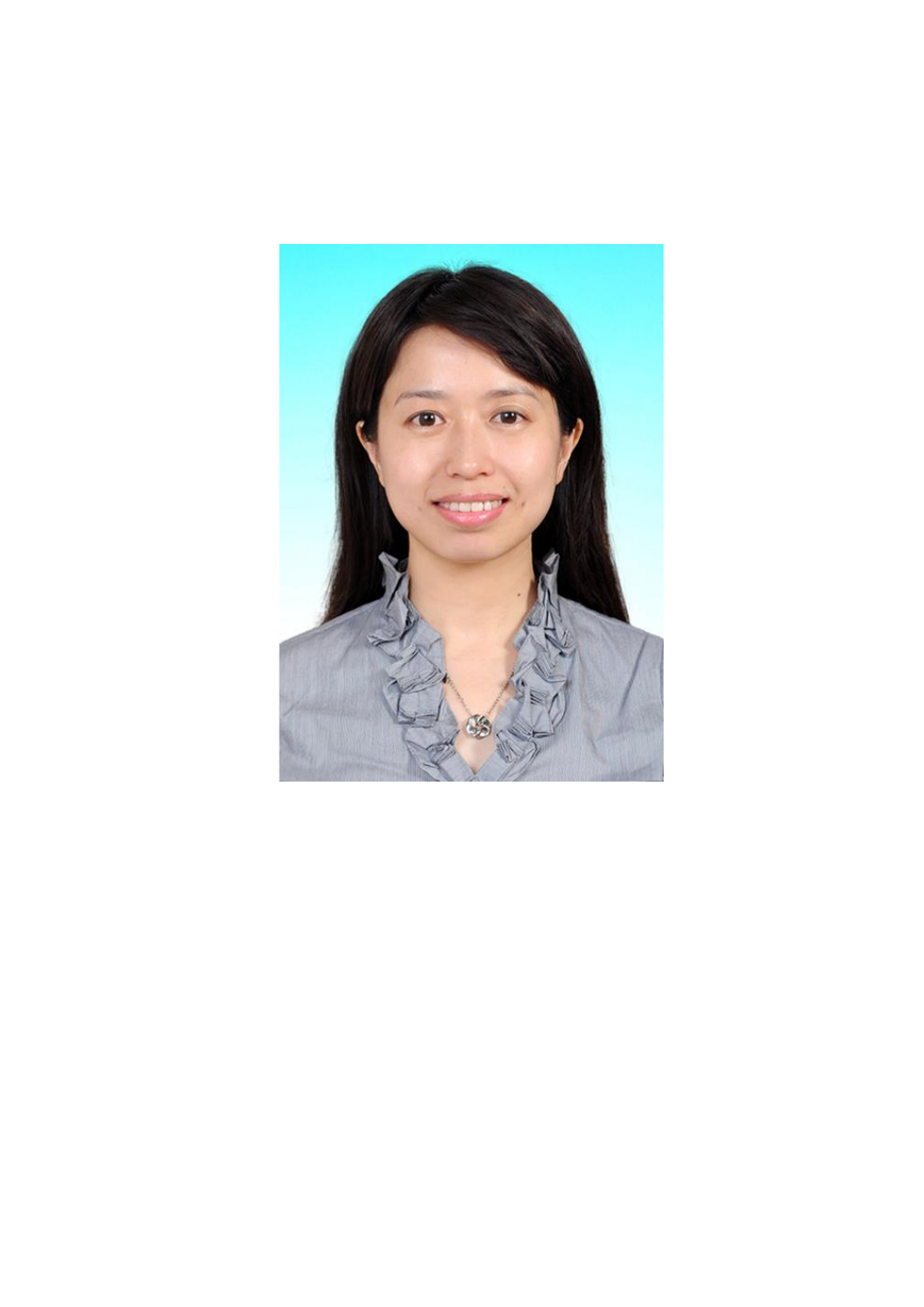